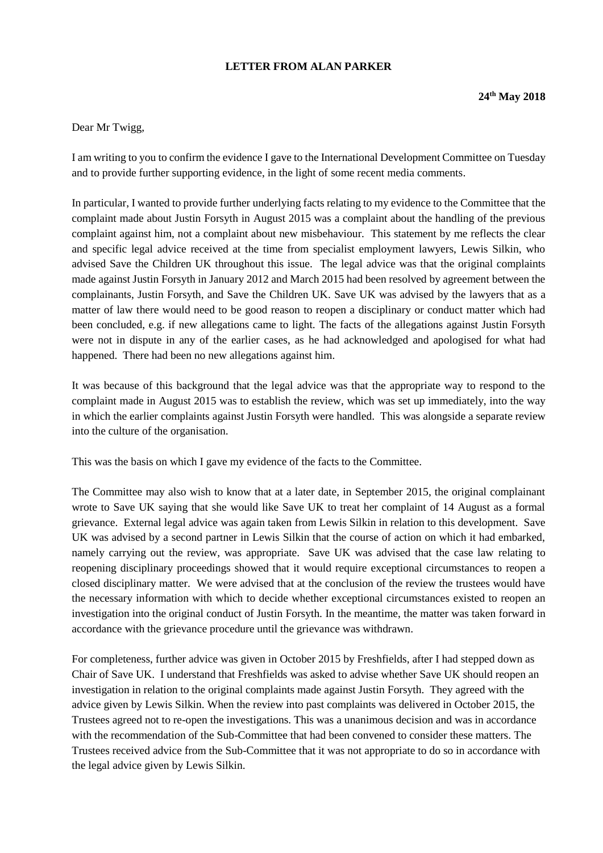## **LETTER FROM ALAN PARKER**

## Dear Mr Twigg,

I am writing to you to confirm the evidence I gave to the International Development Committee on Tuesday and to provide further supporting evidence, in the light of some recent media comments.

In particular, I wanted to provide further underlying facts relating to my evidence to the Committee that the complaint made about Justin Forsyth in August 2015 was a complaint about the handling of the previous complaint against him, not a complaint about new misbehaviour. This statement by me reflects the clear and specific legal advice received at the time from specialist employment lawyers, Lewis Silkin, who advised Save the Children UK throughout this issue. The legal advice was that the original complaints made against Justin Forsyth in January 2012 and March 2015 had been resolved by agreement between the complainants, Justin Forsyth, and Save the Children UK. Save UK was advised by the lawyers that as a matter of law there would need to be good reason to reopen a disciplinary or conduct matter which had been concluded, e.g. if new allegations came to light. The facts of the allegations against Justin Forsyth were not in dispute in any of the earlier cases, as he had acknowledged and apologised for what had happened. There had been no new allegations against him.

It was because of this background that the legal advice was that the appropriate way to respond to the complaint made in August 2015 was to establish the review, which was set up immediately, into the way in which the earlier complaints against Justin Forsyth were handled. This was alongside a separate review into the culture of the organisation.

This was the basis on which I gave my evidence of the facts to the Committee.

The Committee may also wish to know that at a later date, in September 2015, the original complainant wrote to Save UK saying that she would like Save UK to treat her complaint of 14 August as a formal grievance. External legal advice was again taken from Lewis Silkin in relation to this development. Save UK was advised by a second partner in Lewis Silkin that the course of action on which it had embarked, namely carrying out the review, was appropriate. Save UK was advised that the case law relating to reopening disciplinary proceedings showed that it would require exceptional circumstances to reopen a closed disciplinary matter. We were advised that at the conclusion of the review the trustees would have the necessary information with which to decide whether exceptional circumstances existed to reopen an investigation into the original conduct of Justin Forsyth. In the meantime, the matter was taken forward in accordance with the grievance procedure until the grievance was withdrawn.

For completeness, further advice was given in October 2015 by Freshfields, after I had stepped down as Chair of Save UK. I understand that Freshfields was asked to advise whether Save UK should reopen an investigation in relation to the original complaints made against Justin Forsyth. They agreed with the advice given by Lewis Silkin. When the review into past complaints was delivered in October 2015, the Trustees agreed not to re-open the investigations. This was a unanimous decision and was in accordance with the recommendation of the Sub-Committee that had been convened to consider these matters. The Trustees received advice from the Sub-Committee that it was not appropriate to do so in accordance with the legal advice given by Lewis Silkin.